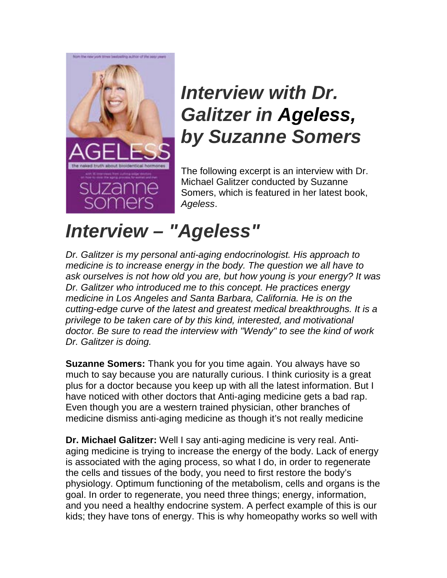

## *Interview with Dr. Galitzer in Ageless, by Suzanne Somers*

The following excerpt is an interview with [Dr.](http://www.drgalitzer.com/about-dr-galitzer)  [Michael Galitzer](http://www.drgalitzer.com/about-dr-galitzer) conducted by Suzanne Somers, which is featured in her latest book, *Ageless*.

## *Interview – "Ageless"*

*Dr. Galitzer is my personal anti-aging endocrinologist. His approach to medicine is to increase energy in the body. The question we all have to ask ourselves is not how old you are, but how young is your energy? It was Dr. Galitzer who introduced me to this concept. He practices energy medicine in Los Angeles and Santa Barbara, California. He is on the cutting-edge curve of the latest and greatest medical breakthroughs. It is a privilege to be taken care of by this kind, interested, and motivational doctor. Be sure to read the interview with "Wendy" to see the kind of work Dr. Galitzer is doing.*

**Suzanne Somers:** Thank you for you time again. You always have so much to say because you are naturally curious. I think curiosity is a great plus for a doctor because you keep up with all the latest information. But I have noticed with other doctors that Anti-aging medicine gets a bad rap. Even though you are a western trained physician, other branches of medicine dismiss anti-aging medicine as though it's not really medicine

**Dr. Michael Galitzer:** Well I say anti-aging medicine is very real. Antiaging medicine is trying to increase the energy of the body. Lack of energy is associated with the aging process, so what I do, in order to regenerate the cells and tissues of the body, you need to first restore the body's physiology. Optimum functioning of the metabolism, cells and organs is the goal. In order to regenerate, you need three things; energy, information, and you need a healthy endocrine system. A perfect example of this is our kids; they have tons of energy. This is why homeopathy works so well with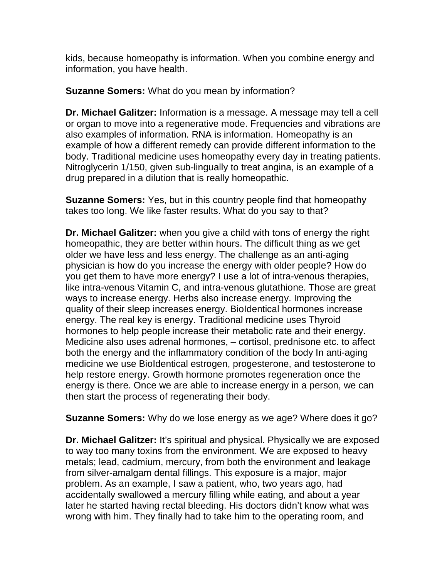kids, because homeopathy is information. When you combine energy and information, you have health.

**Suzanne Somers:** What do you mean by information?

**Dr. Michael Galitzer:** Information is a message. A message may tell a cell or organ to move into a regenerative mode. Frequencies and vibrations are also examples of information. RNA is information. Homeopathy is an example of how a different remedy can provide different information to the body. Traditional medicine uses homeopathy every day in treating patients. Nitroglycerin 1/150, given sub-lingually to treat angina, is an example of a drug prepared in a dilution that is really homeopathic.

**Suzanne Somers:** Yes, but in this country people find that homeopathy takes too long. We like faster results. What do you say to that?

**Dr. Michael Galitzer:** when you give a child with tons of energy the right homeopathic, they are better within hours. The difficult thing as we get older we have less and less energy. The challenge as an anti-aging physician is how do you increase the energy with older people? How do you get them to have more energy? I use a lot of intra-venous therapies, like intra-venous Vitamin C, and intra-venous glutathione. Those are great ways to increase energy. Herbs also increase energy. Improving the quality of their sleep increases energy. BioIdentical hormones increase energy. The real key is energy. Traditional medicine uses Thyroid hormones to help people increase their metabolic rate and their energy. Medicine also uses adrenal hormones, – cortisol, prednisone etc. to affect both the energy and the inflammatory condition of the body In anti-aging medicine we use BioIdentical estrogen, progesterone, and testosterone to help restore energy. Growth hormone promotes regeneration once the energy is there. Once we are able to increase energy in a person, we can then start the process of regenerating their body.

**Suzanne Somers:** Why do we lose energy as we age? Where does it go?

**Dr. Michael Galitzer:** It's spiritual and physical. Physically we are exposed to way too many toxins from the environment. We are exposed to heavy metals; lead, cadmium, mercury, from both the environment and leakage from silver-amalgam dental fillings. This exposure is a major, major problem. As an example, I saw a patient, who, two years ago, had accidentally swallowed a mercury filling while eating, and about a year later he started having rectal bleeding. His doctors didn't know what was wrong with him. They finally had to take him to the operating room, and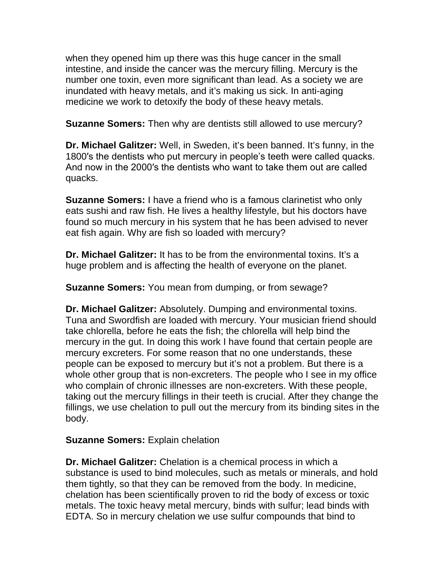when they opened him up there was this huge cancer in the small intestine, and inside the cancer was the mercury filling. Mercury is the number one toxin, even more significant than lead. As a society we are inundated with heavy metals, and it's making us sick. In anti-aging medicine we work to detoxify the body of these heavy metals.

**Suzanne Somers:** Then why are dentists still allowed to use mercury?

**Dr. Michael Galitzer:** Well, in Sweden, it's been banned. It's funny, in the 1800′s the dentists who put mercury in people's teeth were called quacks. And now in the 2000′s the dentists who want to take them out are called quacks.

**Suzanne Somers:** I have a friend who is a famous clarinetist who only eats sushi and raw fish. He lives a healthy lifestyle, but his doctors have found so much mercury in his system that he has been advised to never eat fish again. Why are fish so loaded with mercury?

**Dr. Michael Galitzer:** It has to be from the environmental toxins. It's a huge problem and is affecting the health of everyone on the planet.

**Suzanne Somers:** You mean from dumping, or from sewage?

**Dr. Michael Galitzer:** Absolutely. Dumping and environmental toxins. Tuna and Swordfish are loaded with mercury. Your musician friend should take chlorella, before he eats the fish; the chlorella will help bind the mercury in the gut. In doing this work I have found that certain people are mercury excreters. For some reason that no one understands, these people can be exposed to mercury but it's not a problem. But there is a whole other group that is non-excreters. The people who I see in my office who complain of chronic illnesses are non-excreters. With these people, taking out the mercury fillings in their teeth is crucial. After they change the fillings, we use chelation to pull out the mercury from its binding sites in the body.

## **Suzanne Somers:** Explain chelation

**Dr. Michael Galitzer:** Chelation is a chemical process in which a substance is used to bind molecules, such as metals or minerals, and hold them tightly, so that they can be removed from the body. In medicine, chelation has been scientifically proven to rid the body of excess or toxic metals. The toxic heavy metal mercury, binds with sulfur; lead binds with EDTA. So in mercury chelation we use sulfur compounds that bind to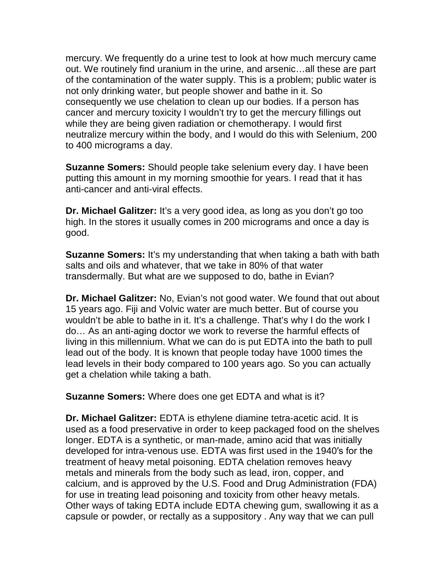mercury. We frequently do a urine test to look at how much mercury came out. We routinely find uranium in the urine, and arsenic…all these are part of the contamination of the water supply. This is a problem; public water is not only drinking water, but people shower and bathe in it. So consequently we use chelation to clean up our bodies. If a person has cancer and mercury toxicity I wouldn't try to get the mercury fillings out while they are being given radiation or chemotherapy. I would first neutralize mercury within the body, and I would do this with Selenium, 200 to 400 micrograms a day.

**Suzanne Somers:** Should people take selenium every day. I have been putting this amount in my morning smoothie for years. I read that it has anti-cancer and anti-viral effects.

**Dr. Michael Galitzer:** It's a very good idea, as long as you don't go too high. In the stores it usually comes in 200 micrograms and once a day is good.

**Suzanne Somers:** It's my understanding that when taking a bath with bath salts and oils and whatever, that we take in 80% of that water transdermally. But what are we supposed to do, bathe in Evian?

**Dr. Michael Galitzer:** No, Evian's not good water. We found that out about 15 years ago. Fiji and Volvic water are much better. But of course you wouldn't be able to bathe in it. It's a challenge. That's why I do the work I do… As an anti-aging doctor we work to reverse the harmful effects of living in this millennium. What we can do is put EDTA into the bath to pull lead out of the body. It is known that people today have 1000 times the lead levels in their body compared to 100 years ago. So you can actually get a chelation while taking a bath.

**Suzanne Somers:** Where does one get EDTA and what is it?

**Dr. Michael Galitzer:** EDTA is ethylene diamine tetra-acetic acid. It is used as a food preservative in order to keep packaged food on the shelves longer. EDTA is a synthetic, or man-made, amino acid that was initially developed for intra-venous use. EDTA was first used in the 1940′s for the treatment of heavy metal poisoning. EDTA chelation removes heavy metals and minerals from the body such as lead, iron, copper, and calcium, and is approved by the U.S. Food and Drug Administration (FDA) for use in treating lead poisoning and toxicity from other heavy metals. Other ways of taking EDTA include EDTA chewing gum, swallowing it as a capsule or powder, or rectally as a suppository . Any way that we can pull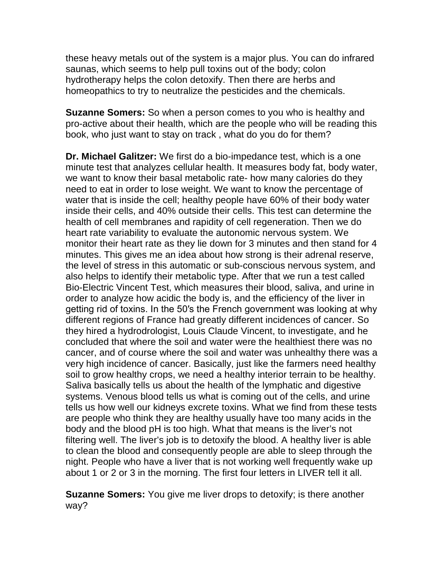these heavy metals out of the system is a major plus. You can do infrared saunas, which seems to help pull toxins out of the body; colon hydrotherapy helps the colon detoxify. Then there are herbs and homeopathics to try to neutralize the pesticides and the chemicals.

**Suzanne Somers:** So when a person comes to you who is healthy and pro-active about their health, which are the people who will be reading this book, who just want to stay on track , what do you do for them?

**Dr. Michael Galitzer:** We first do a bio-impedance test, which is a one minute test that analyzes cellular health. It measures body fat, body water, we want to know their basal metabolic rate- how many calories do they need to eat in order to lose weight. We want to know the percentage of water that is inside the cell; healthy people have 60% of their body water inside their cells, and 40% outside their cells. This test can determine the health of cell membranes and rapidity of cell regeneration. Then we do heart rate variability to evaluate the autonomic nervous system. We monitor their heart rate as they lie down for 3 minutes and then stand for 4 minutes. This gives me an idea about how strong is their adrenal reserve, the level of stress in this automatic or sub-conscious nervous system, and also helps to identify their metabolic type. After that we run a test called Bio-Electric Vincent Test, which measures their blood, saliva, and urine in order to analyze how acidic the body is, and the efficiency of the liver in getting rid of toxins. In the 50′s the French government was looking at why different regions of France had greatly different incidences of cancer. So they hired a hydrodrologist, Louis Claude Vincent, to investigate, and he concluded that where the soil and water were the healthiest there was no cancer, and of course where the soil and water was unhealthy there was a very high incidence of cancer. Basically, just like the farmers need healthy soil to grow healthy crops, we need a healthy interior terrain to be healthy. Saliva basically tells us about the health of the lymphatic and digestive systems. Venous blood tells us what is coming out of the cells, and urine tells us how well our kidneys excrete toxins. What we find from these tests are people who think they are healthy usually have too many acids in the body and the blood pH is too high. What that means is the liver's not filtering well. The liver's job is to detoxify the blood. A healthy liver is able to clean the blood and consequently people are able to sleep through the night. People who have a liver that is not working well frequently wake up about 1 or 2 or 3 in the morning. The first four letters in LIVER tell it all.

**Suzanne Somers:** You give me liver drops to detoxify; is there another way?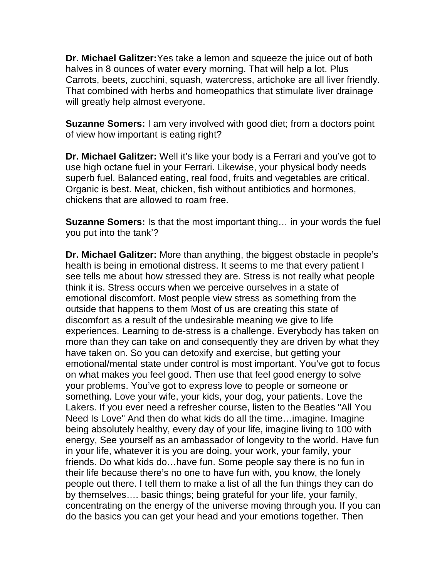**Dr. Michael Galitzer:**Yes take a lemon and squeeze the juice out of both halves in 8 ounces of water every morning. That will help a lot. Plus Carrots, beets, zucchini, squash, watercress, artichoke are all liver friendly. That combined with herbs and homeopathics that stimulate liver drainage will greatly help almost everyone.

**Suzanne Somers:** I am very involved with good diet; from a doctors point of view how important is eating right?

**Dr. Michael Galitzer:** Well it's like your body is a Ferrari and you've got to use high octane fuel in your Ferrari. Likewise, your physical body needs superb fuel. Balanced eating, real food, fruits and vegetables are critical. Organic is best. Meat, chicken, fish without antibiotics and hormones, chickens that are allowed to roam free.

**Suzanne Somers:** Is that the most important thing… in your words the fuel you put into the tank'?

**Dr. Michael Galitzer:** More than anything, the biggest obstacle in people's health is being in emotional distress. It seems to me that every patient I see tells me about how stressed they are. Stress is not really what people think it is. Stress occurs when we perceive ourselves in a state of emotional discomfort. Most people view stress as something from the outside that happens to them Most of us are creating this state of discomfort as a result of the undesirable meaning we give to life experiences. Learning to de-stress is a challenge. Everybody has taken on more than they can take on and consequently they are driven by what they have taken on. So you can detoxify and exercise, but getting your emotional/mental state under control is most important. You've got to focus on what makes you feel good. Then use that feel good energy to solve your problems. You've got to express love to people or someone or something. Love your wife, your kids, your dog, your patients. Love the Lakers. If you ever need a refresher course, listen to the Beatles "All You Need Is Love" And then do what kids do all the time…imagine. Imagine being absolutely healthy, every day of your life, imagine living to 100 with energy, See yourself as an ambassador of longevity to the world. Have fun in your life, whatever it is you are doing, your work, your family, your friends. Do what kids do…have fun. Some people say there is no fun in their life because there's no one to have fun with, you know, the lonely people out there. I tell them to make a list of all the fun things they can do by themselves…. basic things; being grateful for your life, your family, concentrating on the energy of the universe moving through you. If you can do the basics you can get your head and your emotions together. Then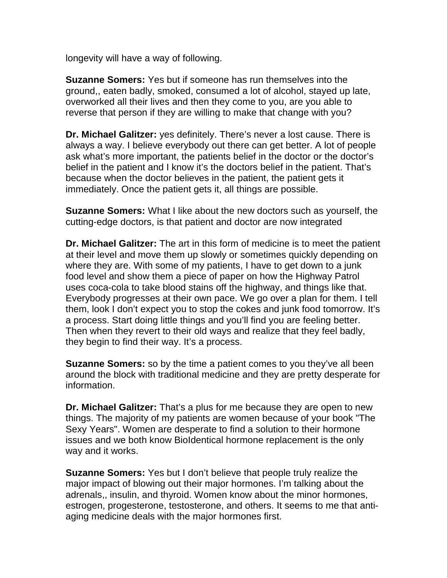longevity will have a way of following.

**Suzanne Somers:** Yes but if someone has run themselves into the ground,, eaten badly, smoked, consumed a lot of alcohol, stayed up late, overworked all their lives and then they come to you, are you able to reverse that person if they are willing to make that change with you?

**Dr. Michael Galitzer:** yes definitely. There's never a lost cause. There is always a way. I believe everybody out there can get better. A lot of people ask what's more important, the patients belief in the doctor or the doctor's belief in the patient and I know it's the doctors belief in the patient. That's because when the doctor believes in the patient, the patient gets it immediately. Once the patient gets it, all things are possible.

**Suzanne Somers:** What I like about the new doctors such as yourself, the cutting-edge doctors, is that patient and doctor are now integrated

**Dr. Michael Galitzer:** The art in this form of medicine is to meet the patient at their level and move them up slowly or sometimes quickly depending on where they are. With some of my patients, I have to get down to a junk food level and show them a piece of paper on how the Highway Patrol uses coca-cola to take blood stains off the highway, and things like that. Everybody progresses at their own pace. We go over a plan for them. I tell them, look I don't expect you to stop the cokes and junk food tomorrow. It's a process. Start doing little things and you'll find you are feeling better. Then when they revert to their old ways and realize that they feel badly, they begin to find their way. It's a process.

**Suzanne Somers:** so by the time a patient comes to you they've all been around the block with traditional medicine and they are pretty desperate for information.

**Dr. Michael Galitzer:** That's a plus for me because they are open to new things. The majority of my patients are women because of your book "The Sexy Years". Women are desperate to find a solution to their hormone issues and we both know BioIdentical hormone replacement is the only way and it works.

**Suzanne Somers:** Yes but I don't believe that people truly realize the major impact of blowing out their major hormones. I'm talking about the adrenals,, insulin, and thyroid. Women know about the minor hormones, estrogen, progesterone, testosterone, and others. It seems to me that antiaging medicine deals with the major hormones first.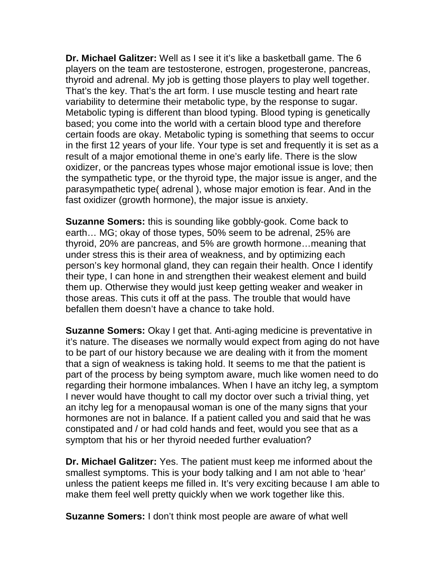**Dr. Michael Galitzer:** Well as I see it it's like a basketball game. The 6 players on the team are testosterone, estrogen, progesterone, pancreas, thyroid and adrenal. My job is getting those players to play well together. That's the key. That's the art form. I use muscle testing and heart rate variability to determine their metabolic type, by the response to sugar. Metabolic typing is different than blood typing. Blood typing is genetically based; you come into the world with a certain blood type and therefore certain foods are okay. Metabolic typing is something that seems to occur in the first 12 years of your life. Your type is set and frequently it is set as a result of a major emotional theme in one's early life. There is the slow oxidizer, or the pancreas types whose major emotional issue is love; then the sympathetic type, or the thyroid type, the major issue is anger, and the parasympathetic type( adrenal ), whose major emotion is fear. And in the fast oxidizer (growth hormone), the major issue is anxiety.

**Suzanne Somers:** this is sounding like gobbly-gook. Come back to earth… MG; okay of those types, 50% seem to be adrenal, 25% are thyroid, 20% are pancreas, and 5% are growth hormone…meaning that under stress this is their area of weakness, and by optimizing each person's key hormonal gland, they can regain their health. Once I identify their type, I can hone in and strengthen their weakest element and build them up. Otherwise they would just keep getting weaker and weaker in those areas. This cuts it off at the pass. The trouble that would have befallen them doesn't have a chance to take hold.

**Suzanne Somers:** Okay I get that. Anti-aging medicine is preventative in it's nature. The diseases we normally would expect from aging do not have to be part of our history because we are dealing with it from the moment that a sign of weakness is taking hold. It seems to me that the patient is part of the process by being symptom aware, much like women need to do regarding their hormone imbalances. When I have an itchy leg, a symptom I never would have thought to call my doctor over such a trivial thing, yet an itchy leg for a menopausal woman is one of the many signs that your hormones are not in balance. If a patient called you and said that he was constipated and / or had cold hands and feet, would you see that as a symptom that his or her thyroid needed further evaluation?

**Dr. Michael Galitzer:** Yes. The patient must keep me informed about the smallest symptoms. This is your body talking and I am not able to 'hear' unless the patient keeps me filled in. It's very exciting because I am able to make them feel well pretty quickly when we work together like this.

**Suzanne Somers:** I don't think most people are aware of what well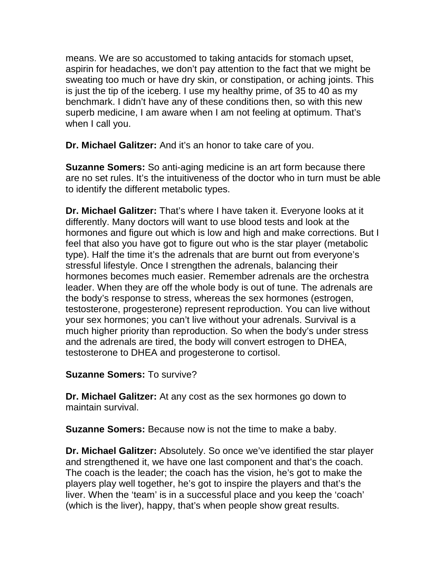means. We are so accustomed to taking antacids for stomach upset, aspirin for headaches, we don't pay attention to the fact that we might be sweating too much or have dry skin, or constipation, or aching joints. This is just the tip of the iceberg. I use my healthy prime, of 35 to 40 as my benchmark. I didn't have any of these conditions then, so with this new superb medicine, I am aware when I am not feeling at optimum. That's when I call you.

**Dr. Michael Galitzer:** And it's an honor to take care of you.

**Suzanne Somers:** So anti-aging medicine is an art form because there are no set rules. It's the intuitiveness of the doctor who in turn must be able to identify the different metabolic types.

**Dr. Michael Galitzer:** That's where I have taken it. Everyone looks at it differently. Many doctors will want to use blood tests and look at the hormones and figure out which is low and high and make corrections. But I feel that also you have got to figure out who is the star player (metabolic type). Half the time it's the adrenals that are burnt out from everyone's stressful lifestyle. Once I strengthen the adrenals, balancing their hormones becomes much easier. Remember adrenals are the orchestra leader. When they are off the whole body is out of tune. The adrenals are the body's response to stress, whereas the sex hormones (estrogen, testosterone, progesterone) represent reproduction. You can live without your sex hormones; you can't live without your adrenals. Survival is a much higher priority than reproduction. So when the body's under stress and the adrenals are tired, the body will convert estrogen to DHEA, testosterone to DHEA and progesterone to cortisol.

## **Suzanne Somers:** To survive?

**Dr. Michael Galitzer:** At any cost as the sex hormones go down to maintain survival.

**Suzanne Somers:** Because now is not the time to make a baby.

**Dr. Michael Galitzer:** Absolutely. So once we've identified the star player and strengthened it, we have one last component and that's the coach. The coach is the leader; the coach has the vision, he's got to make the players play well together, he's got to inspire the players and that's the liver. When the 'team' is in a successful place and you keep the 'coach' (which is the liver), happy, that's when people show great results.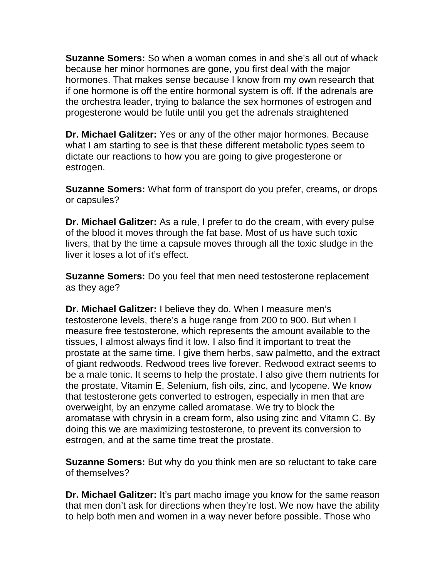**Suzanne Somers:** So when a woman comes in and she's all out of whack because her minor hormones are gone, you first deal with the major hormones. That makes sense because I know from my own research that if one hormone is off the entire hormonal system is off. If the adrenals are the orchestra leader, trying to balance the sex hormones of estrogen and progesterone would be futile until you get the adrenals straightened

**Dr. Michael Galitzer:** Yes or any of the other major hormones. Because what I am starting to see is that these different metabolic types seem to dictate our reactions to how you are going to give progesterone or estrogen.

**Suzanne Somers:** What form of transport do you prefer, creams, or drops or capsules?

**Dr. Michael Galitzer:** As a rule, I prefer to do the cream, with every pulse of the blood it moves through the fat base. Most of us have such toxic livers, that by the time a capsule moves through all the toxic sludge in the liver it loses a lot of it's effect.

**Suzanne Somers:** Do you feel that men need testosterone replacement as they age?

**Dr. Michael Galitzer:** I believe they do. When I measure men's testosterone levels, there's a huge range from 200 to 900. But when I measure free testosterone, which represents the amount available to the tissues, I almost always find it low. I also find it important to treat the prostate at the same time. I give them herbs, saw palmetto, and the extract of giant redwoods. Redwood trees live forever. Redwood extract seems to be a male tonic. It seems to help the prostate. I also give them nutrients for the prostate, Vitamin E, Selenium, fish oils, zinc, and lycopene. We know that testosterone gets converted to estrogen, especially in men that are overweight, by an enzyme called aromatase. We try to block the aromatase with chrysin in a cream form, also using zinc and Vitamn C. By doing this we are maximizing testosterone, to prevent its conversion to estrogen, and at the same time treat the prostate.

**Suzanne Somers:** But why do you think men are so reluctant to take care of themselves?

**Dr. Michael Galitzer:** It's part macho image you know for the same reason that men don't ask for directions when they're lost. We now have the ability to help both men and women in a way never before possible. Those who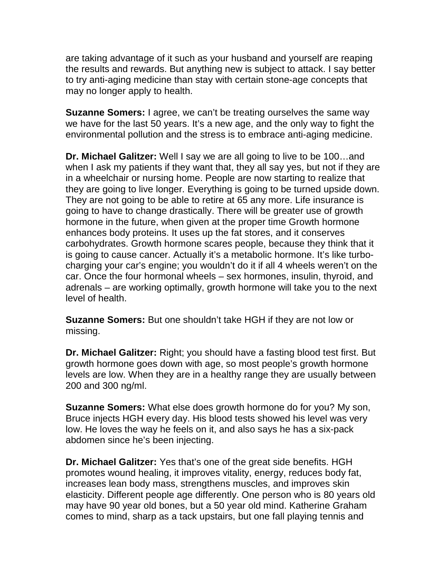are taking advantage of it such as your husband and yourself are reaping the results and rewards. But anything new is subject to attack. I say better to try anti-aging medicine than stay with certain stone-age concepts that may no longer apply to health.

**Suzanne Somers:** I agree, we can't be treating ourselves the same way we have for the last 50 years. It's a new age, and the only way to fight the environmental pollution and the stress is to embrace anti-aging medicine.

**Dr. Michael Galitzer:** Well I say we are all going to live to be 100…and when I ask my patients if they want that, they all say yes, but not if they are in a wheelchair or nursing home. People are now starting to realize that they are going to live longer. Everything is going to be turned upside down. They are not going to be able to retire at 65 any more. Life insurance is going to have to change drastically. There will be greater use of growth hormone in the future, when given at the proper time Growth hormone enhances body proteins. It uses up the fat stores, and it conserves carbohydrates. Growth hormone scares people, because they think that it is going to cause cancer. Actually it's a metabolic hormone. It's like turbocharging your car's engine; you wouldn't do it if all 4 wheels weren't on the car. Once the four hormonal wheels – sex hormones, insulin, thyroid, and adrenals – are working optimally, growth hormone will take you to the next level of health.

**Suzanne Somers:** But one shouldn't take HGH if they are not low or missing.

**Dr. Michael Galitzer:** Right; you should have a fasting blood test first. But growth hormone goes down with age, so most people's growth hormone levels are low. When they are in a healthy range they are usually between 200 and 300 ng/ml.

**Suzanne Somers:** What else does growth hormone do for you? My son, Bruce injects HGH every day. His blood tests showed his level was very low. He loves the way he feels on it, and also says he has a six-pack abdomen since he's been injecting.

**Dr. Michael Galitzer:** Yes that's one of the great side benefits. HGH promotes wound healing, it improves vitality, energy, reduces body fat, increases lean body mass, strengthens muscles, and improves skin elasticity. Different people age differently. One person who is 80 years old may have 90 year old bones, but a 50 year old mind. Katherine Graham comes to mind, sharp as a tack upstairs, but one fall playing tennis and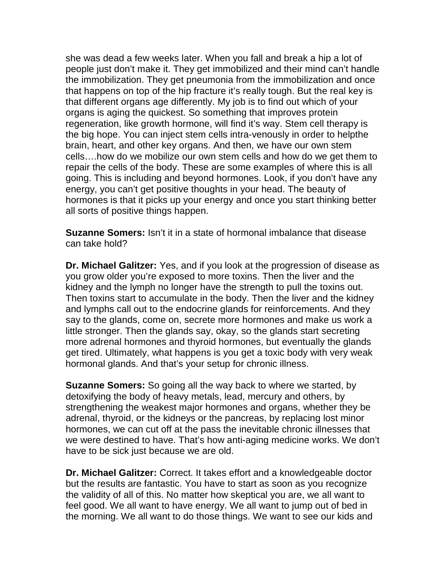she was dead a few weeks later. When you fall and break a hip a lot of people just don't make it. They get immobilized and their mind can't handle the immobilization. They get pneumonia from the immobilization and once that happens on top of the hip fracture it's really tough. But the real key is that different organs age differently. My job is to find out which of your organs is aging the quickest. So something that improves protein regeneration, like growth hormone, will find it's way. Stem cell therapy is the big hope. You can inject stem cells intra-venously in order to helpthe brain, heart, and other key organs. And then, we have our own stem cells….how do we mobilize our own stem cells and how do we get them to repair the cells of the body. These are some examples of where this is all going. This is including and beyond hormones. Look, if you don't have any energy, you can't get positive thoughts in your head. The beauty of hormones is that it picks up your energy and once you start thinking better all sorts of positive things happen.

**Suzanne Somers:** Isn't it in a state of hormonal imbalance that disease can take hold?

**Dr. Michael Galitzer:** Yes, and if you look at the progression of disease as you grow older you're exposed to more toxins. Then the liver and the kidney and the lymph no longer have the strength to pull the toxins out. Then toxins start to accumulate in the body. Then the liver and the kidney and lymphs call out to the endocrine glands for reinforcements. And they say to the glands, come on, secrete more hormones and make us work a little stronger. Then the glands say, okay, so the glands start secreting more adrenal hormones and thyroid hormones, but eventually the glands get tired. Ultimately, what happens is you get a toxic body with very weak hormonal glands. And that's your setup for chronic illness.

**Suzanne Somers:** So going all the way back to where we started, by detoxifying the body of heavy metals, lead, mercury and others, by strengthening the weakest major hormones and organs, whether they be adrenal, thyroid, or the kidneys or the pancreas, by replacing lost minor hormones, we can cut off at the pass the inevitable chronic illnesses that we were destined to have. That's how anti-aging medicine works. We don't have to be sick just because we are old.

**Dr. Michael Galitzer:** Correct. It takes effort and a knowledgeable doctor but the results are fantastic. You have to start as soon as you recognize the validity of all of this. No matter how skeptical you are, we all want to feel good. We all want to have energy. We all want to jump out of bed in the morning. We all want to do those things. We want to see our kids and